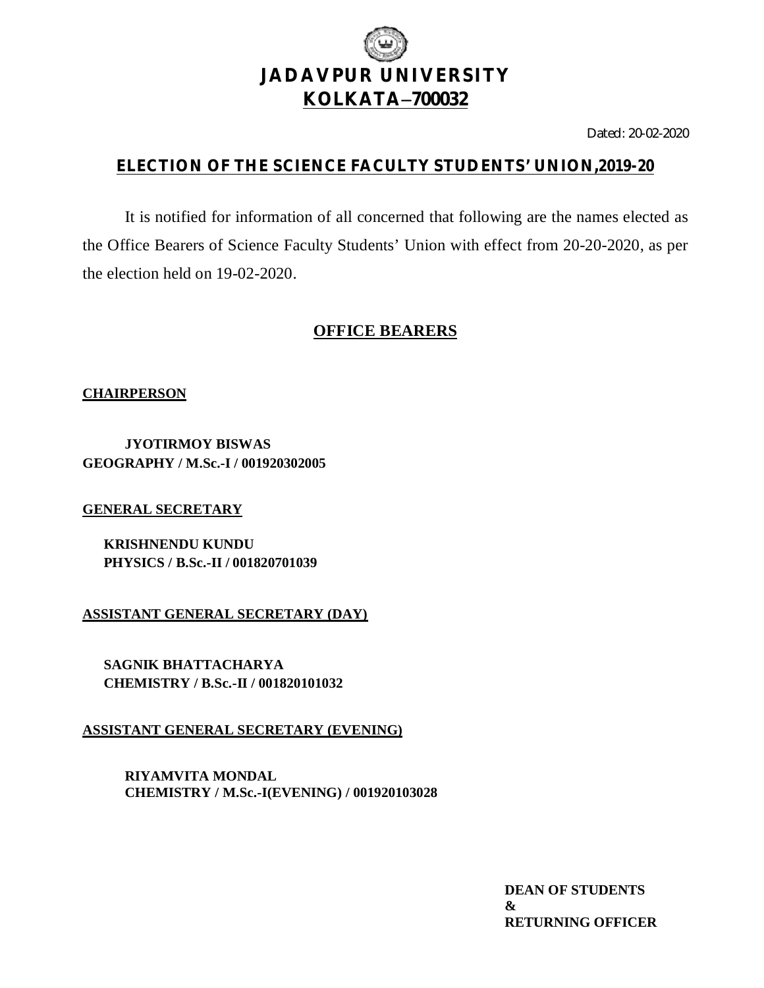

Dated: 20-02-2020

### **ELECTION OF THE SCIENCE FACULTY STUDENTS' UNION,***2019-20*

It is notified for information of all concerned that following are the names elected as the Office Bearers of Science Faculty Students' Union with effect from 20-20-2020, as per the election held on 19-02-2020.

### **OFFICE BEARERS**

#### **CHAIRPERSON**

**JYOTIRMOY BISWAS GEOGRAPHY / M.Sc.-I / 001920302005**

#### **GENERAL SECRETARY**

**KRISHNENDU KUNDU PHYSICS / B.Sc.-II / 001820701039**

**ASSISTANT GENERAL SECRETARY (DAY)**

**SAGNIK BHATTACHARYA CHEMISTRY / B.Sc.-II / 001820101032**

**ASSISTANT GENERAL SECRETARY (EVENING)**

**RIYAMVITA MONDAL CHEMISTRY / M.Sc.-I(EVENING) / 001920103028**

> **DEAN OF STUDENTS & RETURNING OFFICER**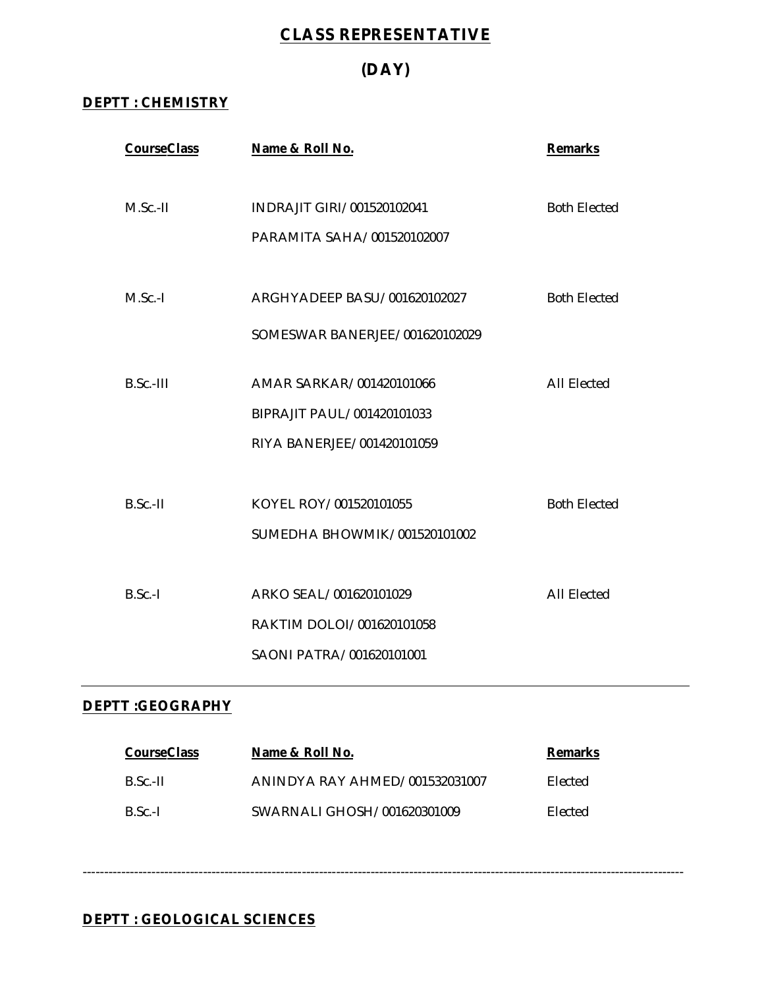# **CLASS REPRESENTATIVE**

# **(DAY)**

#### **DEPTT : CHEMISTRY**

| <b>CourseClass</b> | Name & Roll No.                | <b>Remarks</b>      |
|--------------------|--------------------------------|---------------------|
|                    |                                |                     |
| $M.Sc.-II$         | INDRAJIT GIRI/001520102041     | <b>Both Elected</b> |
|                    | PARAMITA SAHA/001520102007     |                     |
|                    |                                |                     |
| $M.Sc.-I$          | ARGHYADEEP BASU/001620102027   | <b>Both Elected</b> |
|                    | SOMESWAR BANERJEE/001620102029 |                     |
|                    |                                |                     |
| B.Sc.-III          | AMAR SARKAR/001420101066       | <b>All Elected</b>  |
|                    | BIPRAJIT PAUL/001420101033     |                     |
|                    | RIYA BANERJEE/001420101059     |                     |
|                    |                                |                     |
| $B.Sc.-II$         | KOYEL ROY/001520101055         | <b>Both Elected</b> |
|                    | SUMEDHA BHOWMIK/001520101002   |                     |
|                    |                                |                     |
| $B.Sc.-I$          | ARKO SEAL/001620101029         | <b>All Elected</b>  |
|                    | RAKTIM DOLOI/001620101058      |                     |
|                    | SAONI PATRA/001620101001       |                     |

#### **DEPTT :GEOGRAPHY**

| <b>CourseClass</b> | Name & Roll No.                | <b>Remarks</b> |
|--------------------|--------------------------------|----------------|
| B.Sc.-II           | ANINDYA RAY AHMED/001532031007 | <b>Flected</b> |
| B.Sc.-L            | SWARNALI GHOSH/001620301009    | <b>Flected</b> |

--------------------------------------------------------------------------------------------------------------------------------------------

#### **DEPTT : GEOLOGICAL SCIENCES**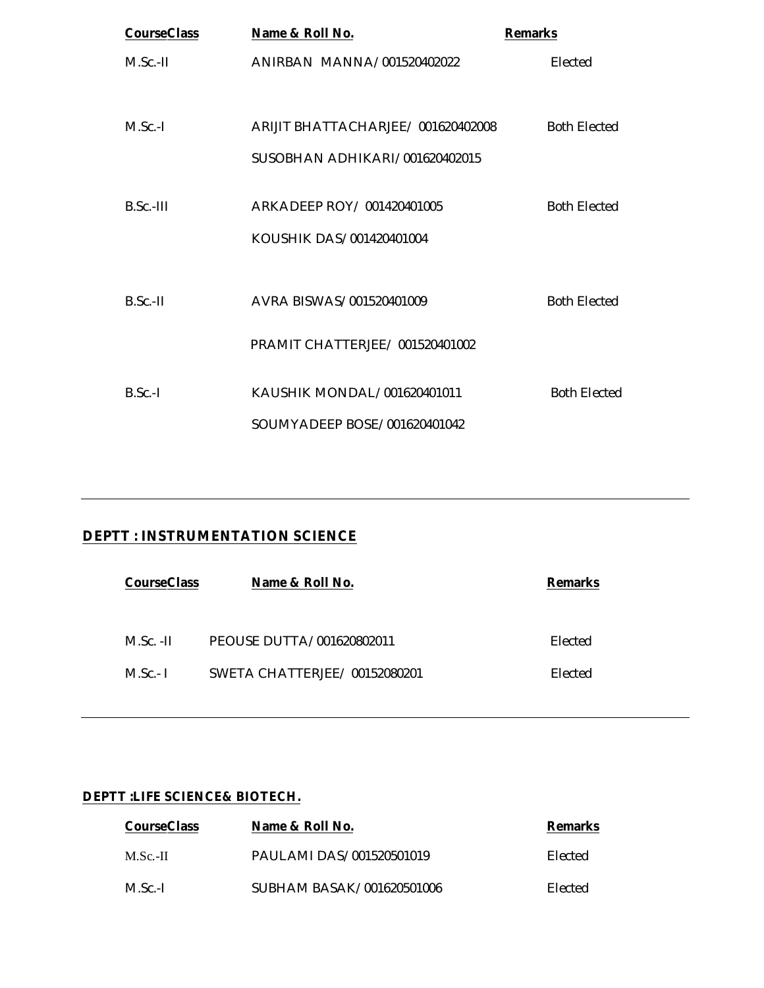| <b>CourseClass</b> | Name & Roll No.                   | <b>Remarks</b>      |
|--------------------|-----------------------------------|---------------------|
| $M.Sc.-H$          | ANIRBAN MANNA/001520402022        | Elected             |
|                    |                                   |                     |
| $M.Sc.-I$          | ARIJIT BHATTACHARJEE/001620402008 | <b>Both Elected</b> |
|                    | SUSOBHAN ADHIKARI/001620402015    |                     |
|                    |                                   |                     |
| $B.Sc.-III$        | ARKADEEP ROY / 001420401005       | <b>Both Elected</b> |
|                    | KOUSHIK DAS/001420401004          |                     |
|                    |                                   |                     |
| $B.Sc.-II$         | AVRA BISWAS/001520401009          | <b>Both Flected</b> |
|                    | PRAMIT CHATTERJEE/001520401002    |                     |
|                    |                                   |                     |
| $B.Sc.-I$          | KAUSHIK MONDAL/001620401011       | <b>Both Flected</b> |
|                    | SOUMYADEEP BOSE/001620401042      |                     |

### **DEPTT : INSTRUMENTATION SCIENCE**

| <b>CourseClass</b> | Name & Roll No.              | <b>Remarks</b> |
|--------------------|------------------------------|----------------|
|                    |                              |                |
| $M.Sc. -H$         | PEOUSE DUTTA/001620802011    | <b>Flected</b> |
| $M.Sc.-1$          | SWETA CHATTERIFF/00152080201 | <b>Flected</b> |

#### **DEPTT :LIFE SCIENCE& BIOTECH.**

| <b>CourseClass</b> | Name & Roll No.           | <b>Remarks</b> |
|--------------------|---------------------------|----------------|
| M.Sc.-II           | PAULAMI DAS/001520501019  | <b>Flected</b> |
| $M.Sc.-I$          | SUBHAM BASAK/001620501006 | <b>Flected</b> |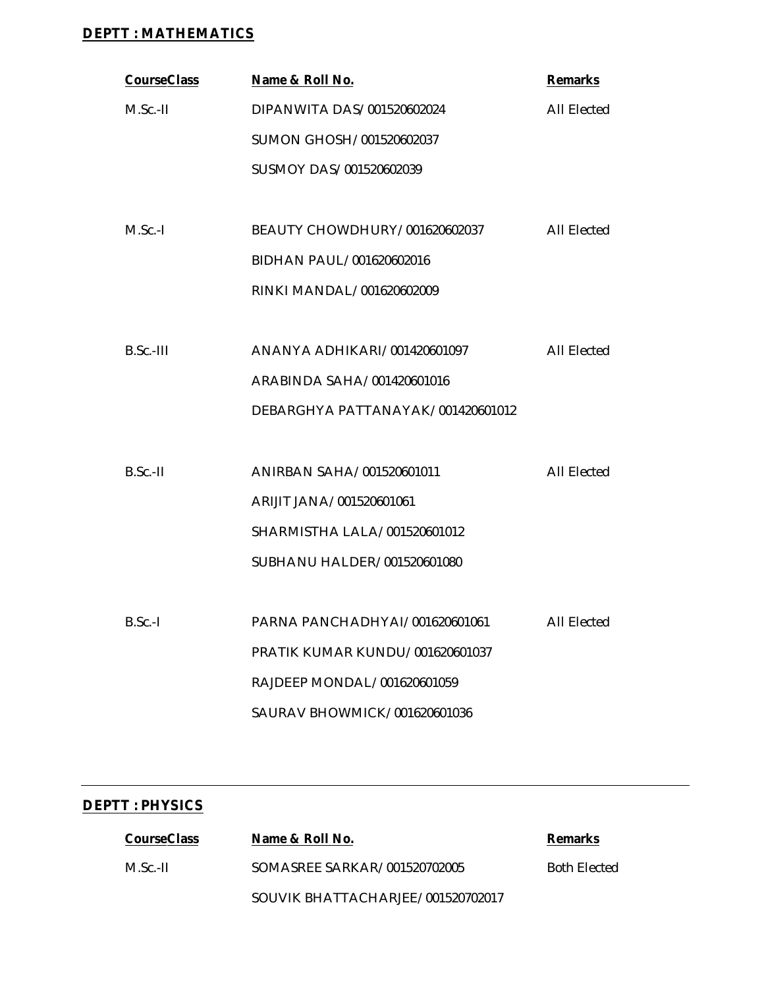#### **DEPTT : MATHEMATICS**

| <b>CourseClass</b> | Name & Roll No.                   | <b>Remarks</b>     |
|--------------------|-----------------------------------|--------------------|
| $M.Sc.-II$         | DIPANWITA DAS/001520602024        | <b>All Elected</b> |
|                    | SUMON GHOSH/001520602037          |                    |
|                    | SUSMOY DAS/001520602039           |                    |
|                    |                                   |                    |
| $M.Sc.-I$          | BEAUTY CHOWDHURY/001620602037     | <b>All Elected</b> |
|                    | BIDHAN PAUL/001620602016          |                    |
|                    | RINKI MANDAL/001620602009         |                    |
|                    |                                   |                    |
| $B.Sc.-III$        | ANANYA ADHIKARI/001420601097      | <b>All Elected</b> |
|                    | ARABINDA SAHA/001420601016        |                    |
|                    | DEBARGHYA PATTANAYAK/001420601012 |                    |
|                    |                                   |                    |
| B.Sc.-II           | ANIRBAN SAHA/001520601011         | <b>All Elected</b> |
|                    | ARIJIT JANA/001520601061          |                    |
|                    | SHARMISTHA LALA/001520601012      |                    |
|                    | SUBHANU HALDER/001520601080       |                    |
|                    |                                   |                    |
| B.Sc.-L            | PARNA PANCHADHYAI/001620601061    | All Elected        |
|                    | PRATIK KUMAR KUNDU/001620601037   |                    |
|                    | RAJDEEP MONDAL/001620601059       |                    |
|                    | SAURAV BHOWMICK/001620601036      |                    |

### **DEPTT : PHYSICS**

| <b>CourseClass</b> | Name & Roll No.                   | <b>Remarks</b>      |
|--------------------|-----------------------------------|---------------------|
| M.Sc.-II           | SOMASREE SARKAR/001520702005      | <b>Both Flected</b> |
|                    | SOUVIK BHATTACHARIFF/001520702017 |                     |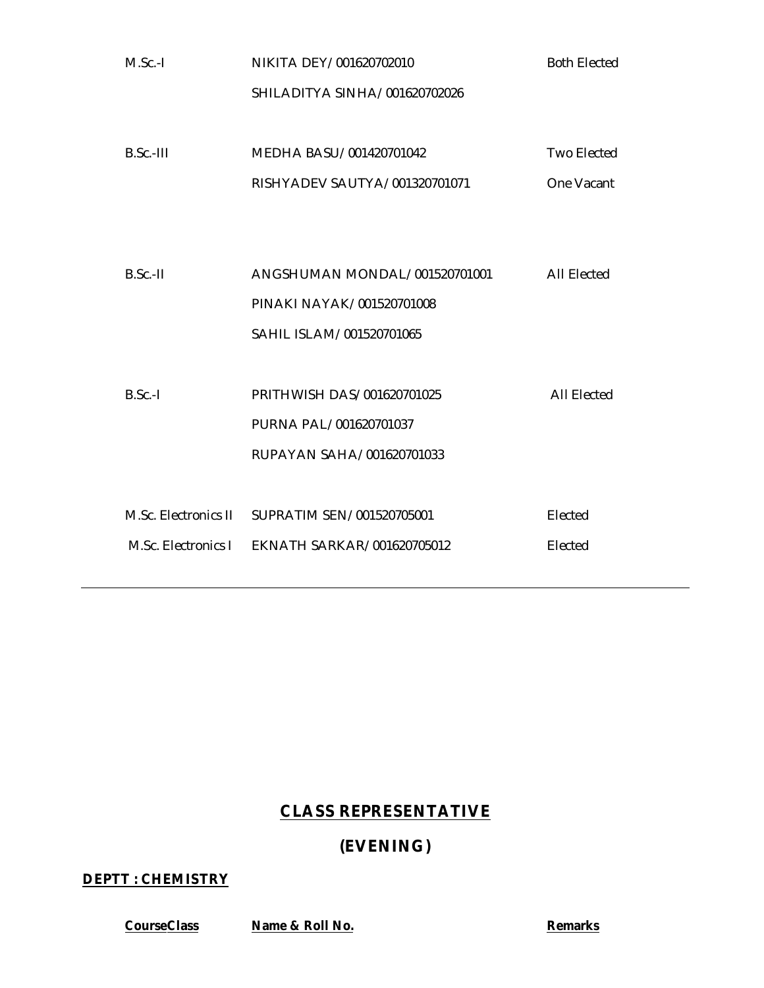| $M.Sc.-I$ | NIKITA DEY/001620702010                        | <b>Both Elected</b> |
|-----------|------------------------------------------------|---------------------|
|           | SHILADITYA SINHA/001620702026                  |                     |
|           |                                                |                     |
| B.Sc.-III | MEDHA BASU/001420701042                        | <b>Two Elected</b>  |
|           | RISHYADEV SAUTYA/001320701071                  | One Vacant          |
|           |                                                |                     |
|           |                                                |                     |
| $B.Sc.-H$ | ANGSHUMAN MONDAL/001520701001                  | <b>All Elected</b>  |
|           | PINAKI NAYAK/001520701008                      |                     |
|           | SAHIL ISLAM/001520701065                       |                     |
|           |                                                |                     |
| $B.Sc.-I$ | PRITHWISH DAS/001620701025                     | <b>AII Elected</b>  |
|           | PURNA PAL/001620701037                         |                     |
|           | RUPAYAN SAHA/001620701033                      |                     |
|           |                                                |                     |
|           | M.Sc. Electronics II SUPRATIM SEN/001520705001 | Elected             |
|           | M.Sc. Electronics   EKNATH SARKAR/001620705012 | Elected             |
|           |                                                |                     |

# **CLASS REPRESENTATIVE**

# **(EVENING)**

### **DEPTT : CHEMISTRY**

**CourseClass Name & Roll No. Remarks**